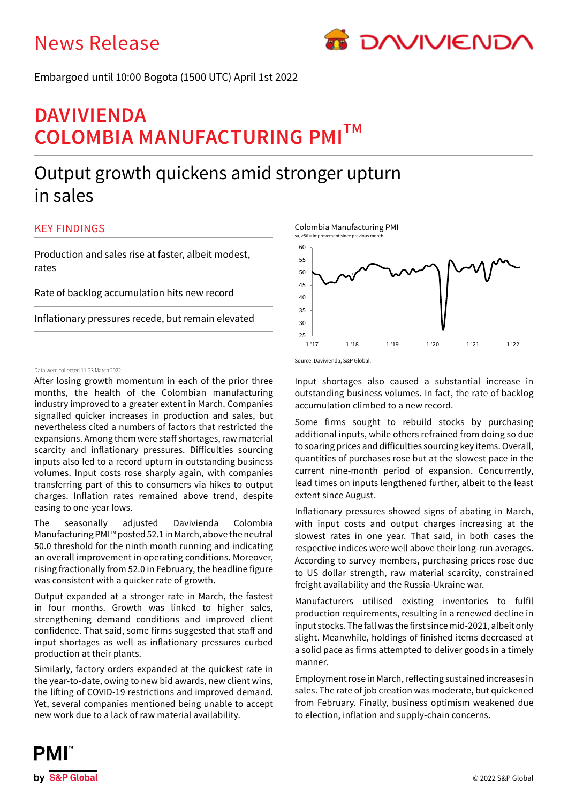# News Release



Embargoed until 10:00 Bogota (1500 UTC) April 1st 2022

# **DAVIVIENDA COLOMBIA MANUFACTURING PMITM**

# Output growth quickens amid stronger upturn in sales

# KEY FINDINGS

Production and sales rise at faster, albeit modest, rates

Rate of backlog accumulation hits new record

Inflationary pressures recede, but remain elevated

## Data were collected 11-23 March 2022

After losing growth momentum in each of the prior three months, the health of the Colombian manufacturing industry improved to a greater extent in March. Companies signalled quicker increases in production and sales, but nevertheless cited a numbers of factors that restricted the expansions. Among them were staff shortages, raw material scarcity and inflationary pressures. Difficulties sourcing inputs also led to a record upturn in outstanding business volumes. Input costs rose sharply again, with companies transferring part of this to consumers via hikes to output charges. Inflation rates remained above trend, despite easing to one-year lows.

The seasonally adjusted Davivienda Colombia Manufacturing PMI™ posted 52.1 in March, above the neutral 50.0 threshold for the ninth month running and indicating an overall improvement in operating conditions. Moreover, rising fractionally from 52.0 in February, the headline figure was consistent with a quicker rate of growth.

Output expanded at a stronger rate in March, the fastest in four months. Growth was linked to higher sales, strengthening demand conditions and improved client confidence. That said, some firms suggested that staff and input shortages as well as inflationary pressures curbed production at their plants.

Similarly, factory orders expanded at the quickest rate in the year-to-date, owing to new bid awards, new client wins, the lifting of COVID-19 restrictions and improved demand. Yet, several companies mentioned being unable to accept new work due to a lack of raw material availability.



Source: Davivienda, S&P Global.

Input shortages also caused a substantial increase in outstanding business volumes. In fact, the rate of backlog accumulation climbed to a new record.

Some firms sought to rebuild stocks by purchasing additional inputs, while others refrained from doing so due to soaring prices and difficulties sourcing key items. Overall, quantities of purchases rose but at the slowest pace in the current nine-month period of expansion. Concurrently, lead times on inputs lengthened further, albeit to the least extent since August.

Inflationary pressures showed signs of abating in March, with input costs and output charges increasing at the slowest rates in one year. That said, in both cases the respective indices were well above their long-run averages. According to survey members, purchasing prices rose due to US dollar strength, raw material scarcity, constrained freight availability and the Russia-Ukraine war.

Manufacturers utilised existing inventories to fulfil production requirements, resulting in a renewed decline in input stocks. The fall was the first since mid-2021, albeit only slight. Meanwhile, holdings of finished items decreased at a solid pace as firms attempted to deliver goods in a timely manner.

Employment rose in March, reflecting sustained increases in sales. The rate of job creation was moderate, but quickened from February. Finally, business optimism weakened due to election, inflation and supply-chain concerns.